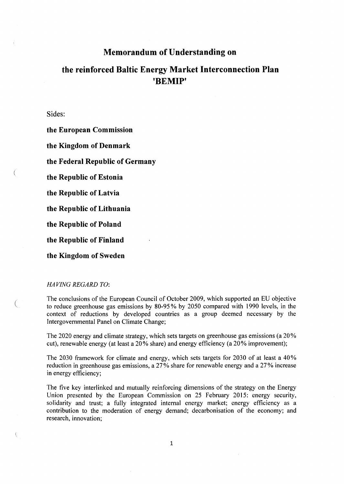# **Memorandum of Understanding on**

# **the reinforced Baltic Energy Market Interconnection Plan 'BEMIP'**

Sides:

**the European Commission** 

**the Kingdom of Denmark** 

**the Federal Republic of Germany** 

**the Republic of Estonia** 

**the Republic of Latvia** 

**the Republic of Lithuania** 

**the Republic of Poland** 

**the Republic of Finland** 

**the Kingdom of Sweden** 

### *HAVING REGARD TO:*

€

 $\left($ 

The conclusions of the European Council of October 2009, which supported an EU objective to reduce greenhouse gas emissions by 80-95% by 2050 compared with 1990 levels, in the context of reductions by developed countries as a group deemed necessary by the Intergovernmental Panel on Climate Change;

The 2020 energy and climate strategy, which sets targets on greenhouse gas emissions (a 20% cut), renewable energy (at least a 20% share) and energy efficiency (a 20% improvement);

The 2030 framework for climate and energy, which sets targets for 2030 of at least a 40% reduction in greenhouse gas emissions, a 27% share for renewable energy and a 27% increase in energy efficiency;

The five key interlinked and mutually reinforcing dimensions of the strategy on the Energy Union presented by the European Commission on 25 February 2015: energy security, solidarity and trust; a fully integrated internal energy market; energy efficiency as a contribution to the moderation of energy demand; decarbonisation of the economy; and research, innovation;

**1**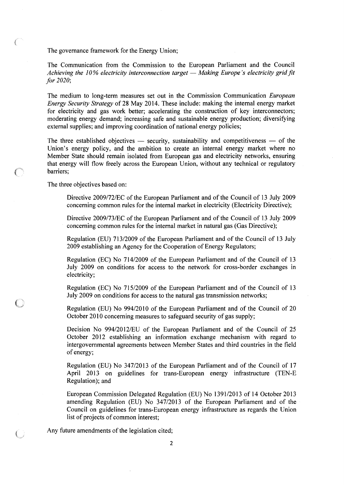The governance framework for the Energy Union;

É.

The Communication from the Commission to the European Parliament and the Council *Achieving the 10% electricity interconnection target — Making Europe's electricity grid fit for 2020;* 

The medium to long-term measures set out in the Commission Communication *European Energy Security Strategy* of 28 May 2014. These include: making the internal energy market for electricity and gas work better; accelerating the construction of key interconnectors; moderating energy demand; increasing safe and sustainable energy production; diversifying external supplies; and improving coordination of national energy policies;

The three established objectives — security, sustainability and competitiveness — of the Union's energy policy, and the ambition to create an internal energy market where no Member State should remain isolated from European gas and electricity networks, ensuring that energy will flow freely across the European Union, without any technical or regulatory barriers;

The three objectives based on:

Directive 2009/72/EC of the European Parliament and of the Council of 13 July 2009 concerning common rules for the internal market in electricity (Electricity Directive);

Directive 2009/73/EC of the European Parliament and of the Council of 13 July 2009 concerning common rules for the internal market in natural gas (Gas Directive);

Regulation (EU) 713/2009 of the European Parliament and of the Council of 13 July 2009 establishing an Agency for the Cooperation of Energy Regulators;

Regulation (EC) No 714/2009 of the European Parliament and of the Council of 13 July 2009 on conditions for access to the network for cross-border exchanges in electricity;

Regulation (EC) No 715/2009 of the European Parliament and of the Council of 13 July 2009 on conditions for access to the natural gas transmission networks;

Regulation (EU) No 994/2010 of the European Parliament and of the Council of 20 October 2010 concerning measures to safeguard security of gas supply;

Decision No 994/2012/EU of the European Parliament and of the Council of 25 October 2012 establishing an information exchange mechanism with regard to intergovernmental agreements between Member States and third countries in the field of energy;

Regulation (EU) No 347/2013 of the European Parliament and of the Council of 17 April 2013 on guidelines for trans-European energy infrastructure (TEN-E Regulation); and

European Commission Delegated Regulation (EU) No 1391/2013 of 14 October 2013 amending Regulation (EU) No 347/2013 of the European Parliament and of the Council on guidelines for trans-European energy infrastructure as regards the Union list of projects of common interest;

Any future amendments of the legislation cited;

**2**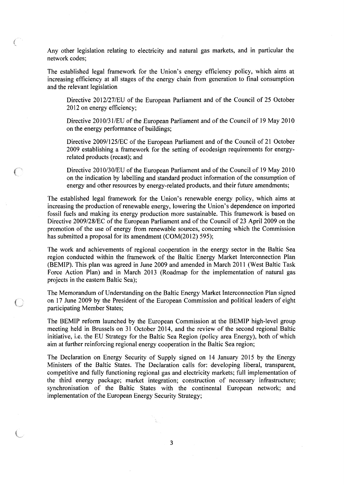Any other legislation relating to electricity and natural gas markets, and in particular the network codes;

The established legal framework for the Union's energy efficiency policy, which aims at increasing efficiency at all stages of the energy chain from generation to final consumption and the relevant legislation

Directive 2012/27/EU of the European Parliament and of the Council of 25 October 2012 on energy efficiency;

Directive 2010/31/EU of the European Parliament and of the Council of 19 May 2010 on the energy performance of buildings;

Directive 2009/125/EC of the European Parliament and of the Council of 21 October 2009 establishing a framework for the setting of ecodesign requirements for energyrelated products (recast); and

Directive 2010/30/EU of the European Parliament and of the Council of 19 May 2010 on the indication by labelling and standard product information of the consumption of energy and other resources by energy-related products, and their future amendments;

The established legal framework for the Union's renewable energy policy, which aims at increasing the production of renewable energy, lowering the Union's dependence on imported fossil fuels and making its energy production more sustainable. This framework is based on Directive 2009/28/EC of the European Parliament and of the Council of 23 April 2009 on the promotion of the use of energy from renewable sources, concerning which the Commission has submitted a proposal for its amendment (COM(2012) 595);

The work and achievements of regional cooperation in the energy sector in the Baltic Sea region conducted within the framework of the Baltic Energy Market Interconnection Plan (BEMIP). This plan was agreed in June 2009 and amended in March 2011 (West Baltic Task Force Action Plan) and in March 2013 (Roadmap for the implementation of natural gas projects in the eastern Baltic Sea);

The Memorandum of Understanding on the Baltic Energy Market Interconnection Plan signed on 17 June 2009 by the President of the European Commission and political leaders of eight participating Member States;

The BEMIP reform launched by the European Commission at the BEMIP high-level group meeting held in Brussels on 31 October 2014, and the review of the second regional Baltic initiative, i.e. the EU Strategy for the Baltic Sea Region (policy area Energy), both of which aim at further reinforcing regional energy cooperation in the Baltic Sea region;

The Declaration on Energy Security of Supply signed on 14 January 2015 by the Energy Ministers of the Baltic States. The Declaration calls for: developing liberal, transparent, competitive and fully functioning regional gas and electricity markets; full implementation of the third energy package; market integration; construction of necessary infrastructure; synchronisation of the Baltic States with the continental European network; and implementation of the European Energy Security Strategy;

 $\left($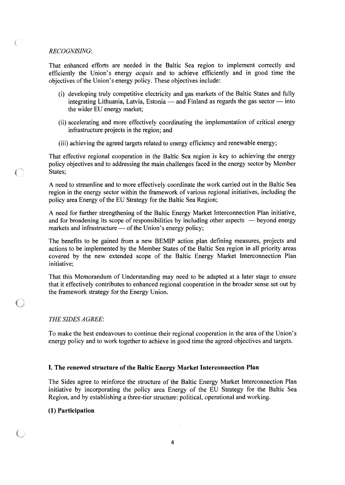### *RECOGNISING·*

€

That enhanced efforts are needed in the Baltic Sea region to implement correctly and efficiently the Union's energy *acquis* and to achieve efficiently and in good time the objectives of the Union's energy policy. These objectives include:

- (i) developing truly competitive electricity and gas markets of the Baltic States and fully integrating Lithuania, Latvia, Estonia — and Finland as regards the gas sector — into the wider EU energy market;
- (ii) accelerating and more effectively coordinating the implementation of critical energy infrastructure projects in the region; and
- (iii) achieving the agreed targets related to energy efficiency and renewable energy;

That effective regional cooperation in the Baltic Sea region is key to achieving the energy policy objectives and to addressing the main challenges faced in the energy sector by Member States;

A need to streamline and to more effectively coordinate the work carried out in the Baltic Sea region in the energy sector within the framework of various regional initiatives, including the policy area Energy of the EU Strategy for the Baltic Sea Region;

A need for further strengthening of the Baltic Energy Market Interconnection Plan initiative, and for broadening its scope of responsibilities by including other aspects — beyond energy markets and infrastructure — of the Union's energy policy;

The benefits to be gained from a new BEMIP action plan defining measures, projects and actions to be implemented by the Member States of the Baltic Sea region in all priority areas covered by the new extended scope of the Baltic Energy Market Interconnection Plan initiative;

That this Memorandum of Understanding may need to be adapted at a later stage to ensure that it effectively contributes to enhanced regional cooperation in the broader sense set out by the framework strategy for the Energy Union.

### *THE SIDES AGREE:*

To make the best endeavours to continue their regional cooperation in the area of the Union's energy policy and to work together to achieve in good time the agreed objectives and targets.

### **I. The renewed structure of the Baltic Energy Market Interconnection Plan**

The Sides agree to reinforce the structure of the Baltic Energy Market Interconnection Plan initiative by incorporating the policy area Energy of the EU Strategy for the Baltic Sea Region, and by establishing a three-tier structure: political, operational and working.

### **(1) Participation**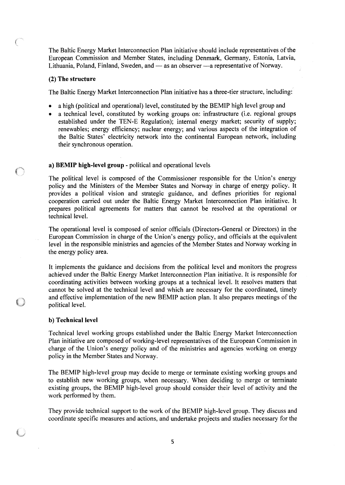The Baltic Energy Market Interconnection Plan initiative should include representatives of the European Commission and Member States, including Denmark, Germany, Estonia, Latvia, Lithuania, Poland, Finland, Sweden, and — as an observer —a representative of Norway.

### **(2) The structure**

The Baltic Energy Market Interconnection Plan initiative has a three-tier structure, including:

- a high (political and operational) level, constituted by the BEMIP high level group and
- a technical level, constituted by working groups on: infrastructure (i.e. regional groups established under the TEN-E Regulation); internal energy market; security of supply; renewables; energy efficiency; nuclear energy; and various aspects of the integration of the Baltic States' electricity network into the continental European network, including their synchronous operation.

### **a) BEMIP high-level group** - political and operational levels

The political level is composed of the Commissioner responsible for the Union's energy policy and the Ministers of the Member States and Norway in charge of energy policy. It provides a political vision and strategic guidance, and defines priorities for regional cooperation carried out under the Baltic Energy Market Interconnection Plan initiative. It prepares political agreements for matters that cannot be resolved at the operational or technical level.

The operational level is composed of senior officials (Directors-General or Directors) in the European Commission in charge of the Union's energy policy, and officials at the equivalent level in the responsible ministries and agencies of the Member States and Norway working in the energy policy area.

It implements the guidance and decisions from the political level and monitors the progress achieved under the Baltic Energy Market Interconnection Plan initiative. It is responsible for coordinating activities between working groups at a technical level. It resolves matters that cannot be solved at the technical level and which are necessary for the coordinated, timely and effective implementation of the new BEMIP action plan. It also prepares meetings of the political level.

### **b) Technical level**

Technical level working groups established under the Baltic Energy Market Interconnection Plan initiative are composed of working-level representatives of the European Commission in charge of the Union's energy policy and of the ministries and agencies working on energy policy in the Member States and Norway.

The BEMIP high-level group may decide to merge or terminate existing working groups and to establish new working groups, when necessary. When deciding to merge or terminate existing groups, the BEMIP high-level group should consider their level of activity and the work performed by them.

They provide technical support to the work of the BEMIP high-level group. They discuss and coordinate specific measures and actions, and undertake projects and studies necessary for the

5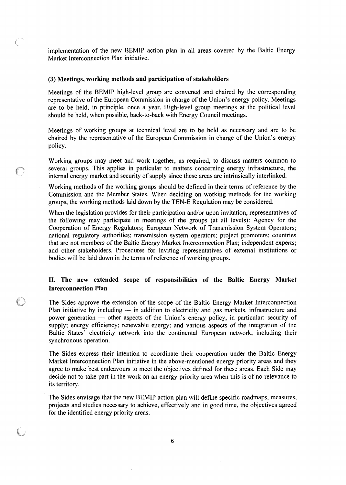implementation of the new BEMIP action plan in all areas covered by the Baltic Energy Market Interconnection Plan initiative.

### **(3) Meetings, working methods and participation of stakeholders**

Meetings of the BEMIP high-level group are convened and chaired by the corresponding representative of the European Commission in charge of the Union's energy policy. Meetings are to be held, in principle, once a year. High-level group meetings at the political level should be held, when possible, back-to-back with Energy Council meetings.

Meetings of working groups at technical level are to be held as necessary and are to be chaired by the representative of the European Commission in charge of the Union's energy policy.

Working groups may meet and work together, as required, to discuss matters common to several groups. This applies in particular to matters concerning energy infrastructure, the internal energy market and security of supply since these areas are intrinsically interlinked.

Working methods of the working groups should be defined in their terms of reference by the Commission and the Member States. When deciding on working methods for the working groups, the working methods laid down by the TEN-E Regulation may be considered.

When the legislation provides for their participation and/or upon invitation, representatives of the following may participate in meetings of the groups (at all levels): Agency for the Cooperation of Energy Regulators; European Network of Transmission System Operators; national regulatory authorities; transmission system operators; project promoters; countries that are not members of the Baltic Energy Market Interconnection Plan; independent experts; and other stakeholders. Procedures for inviting representatives of external institutions or bodies will be laid down in the terms of reference of working groups.

## **II. The new extended scope of responsibilities of the Baltic Energy Market Interconnection Plan**

The Sides approve the extension of the scope of the Baltic Energy Market Interconnection Plan initiative by including — in addition to electricity and gas markets, infrastructure and power generation — other aspects of the Union's energy policy, in particular: security of supply; energy efficiency; renewable energy; and various aspects of the integration of the Baltic States' electricity network into the continental European network, including their synchronous operation.

The Sides express their intention to coordinate their cooperation under the Baltic Energy Market Interconnection Plan initiative in the above-mentioned energy priority areas and they agree to make best endeavours to meet the objectives defined for these areas. Each Side may decide not to take part in the work on an energy priority area when this is of no relevance to its territory.

The Sides envisage that the new BEMIP action plan will define specific roadmaps, measures, projects and studies necessary to achieve, effectively and in good time, the objectives agreed for the identified energy priority areas.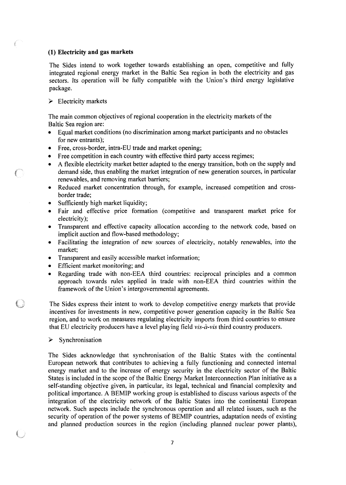### **(1) Electricity and gas markets**

The Sides intend to work together towards establishing an open, competitive and fully integrated regional energy market in the Baltic Sea region in both the electricity and gas sectors. Its operation will be fully compatible with the Union's third energy legislative package.

 $\triangleright$  Electricity markets

f.

The main common objectives of regional cooperation in the electricity markets of the Baltic Sea region are:

- Equal market conditions (no discrimination among market participants and no obstacles for new entrants);
- Free, cross-border, intra-EU trade and market opening;
- Free competition in each country with effective third party access regimes;
- A flexible electricity market better adapted to the energy transition, both on the supply and demand side, thus enabling the market integration of new generation sources, in particular renewables, and removing market barriers;
- Reduced market concentration through, for example, increased competition and crossborder trade;
- Sufficiently high market liquidity;
- Fair and effective price formation (competitive and transparent market price for electricity);
- Transparent and effective capacity allocation according to the network code, based on implicit auction and flow-based methodology;
- Facilitating the integration of new sources of electricity, notably renewables, into the market;
- Transparent and easily accessible market information;
- Efficient market monitoring; and
- Regarding trade with non-EEA third countries: reciprocal principles and a common approach towards rules applied in trade with non-EEA third countries within the framework of the Union's intergovernmental agreements.

The Sides express their intent to work to develop competitive energy markets that provide incentives for investments in new, competitive power generation capacity in the Baltic Sea region, and to work on measures regulating electricity imports from third countries to ensure that EU electricity producers have a level playing field *vis-à-vis* third country producers.

### **Synchronisation**

The Sides acknowledge that synchronisation of the Baltic States with the continental European network that contributes to achieving a fully functioning and connected internal energy market and to the increase of energy security in the electricity sector of the Baltic States is included in the scope of the Baltic Energy Market Interconnection Plan initiative as a self-standing objective given, in particular, its legal, technical and financial complexity and political importance. A BEMIP working group is established to discuss various aspects of the integration of the electricity network of the Baltic States into the continental European network. Such aspects include the synchronous operation and all related issues, such as the security of operation of the power systems of BEMIP countries, adaptation needs of existing and planned production sources in the region (including planned nuclear power plants),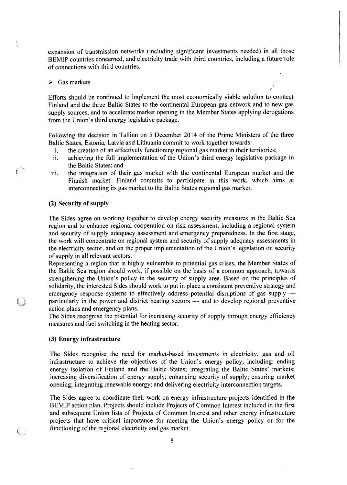expansion of transmission networks (including significant investments needed) in all those BEMIP countries concerned, and electricity trade with third countries, including a future role of connections with third countries.

### $\triangleright$  Gas markets

Efforts should be continued to implement the most economically viable solution to connect Finland and the three Baltic States to the continental European gas network and to new gas supply sources, and to accelerate market opening in the Member States applying derogations from the Union's third energy legislative package.

*/* 

Following the decision in Tallinn on 5 December 2014 of the Prime Ministers of the three Baltic States, Estonia, Latvia and Lithuania commit to work together towards:

- i. the creation of an effectively functioning regional gas market in their territories;
- ii. achieving the full implementation of the Union's third energy legislative package in the Baltic States; and
- iii. the integration of their gas market with the continental European market and the Finnish market. Finland commits to participate in this work, which aims at interconnecting its gas market to the Baltic States regional gas market.

### **(2) Security of supply**

The Sides agree on working together to develop energy security measures in the Baltic Sea region and to enhance regional cooperation on risk assessment, including a regional system and security of supply adequacy assessment and emergency preparedness. In the first stage, the work will concentrate on regional system and security of supply adequacy assessments in the electricity sector, and on the proper implementation of the Union's legislation on security of supply in all relevant sectors.

Representing a region that is highly vulnerable to potential gas crises, the Member States of the Baltic Sea region should work, if possible on the basis of a common approach, towards strengthening the Union's policy in the security of supply area. Based on the principles of solidarity, the interested Sides should work to put in place a consistent preventive strategy and emergency response systems to effectively address potential disruptions of gas supply particularly in the power and district heating sectors — and to develop regional preventive action plans and emergency plans.

The Sides recognise the potential for increasing security of supply through energy efficiency measures and fuel switching in the heating sector.

### **(3) Energy infrastructure**

The Sides recognise the need for market-based investments in electricity, gas and oil infrastructure to achieve the objectives of the Union's energy policy, including: ending energy isolation of Finland and the Baltic States; integrating the Baltic States' markets; increasing diversification of energy supply; enhancing security of supply; ensuring market opening; integrating renewable energy; and delivering electricity interconnection targets.

The Sides agree to coordinate their work on energy infrastructure projects identified in the BEMIP action plan. Projects should include Projects of Common Interest included in the first and subsequent Union lists of Projects of Common Interest and other energy infrastructure projects that have critical importance for meeting the Union's energy policy or for the functioning of the regional electricity and gas market.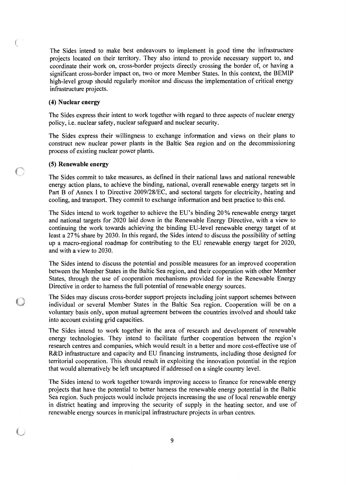The Sides intend to make best endeavours to implement in good time the infrastructure projects located on their territory. They also intend to provide necessary support to, and coordinate their work on, cross-border projects directly crossing the border of, or having a significant cross-border impact on, two or more Member States. In this context, the BEMIP high-level group should regularly monitor and discuss the implementation of critical energy infrastructure projects.

### **(4) Nuclear energy**

€

The Sides express their intent to work together with regard to three aspects of nuclear energy policy, i.e. nuclear safety, nuclear safeguard and nuclear security.

The Sides express their willingness to exchange information and views on their plans to construct new nuclear power plants in the Baltic Sea region and on the decommissioning process of existing nuclear power plants.

### **(5) Renewable energy**

The Sides commit to take measures, as defined in their national laws and national renewable energy action plans, to achieve the binding, national, overall renewable energy targets set in Part B of Annex I to Directive 2009/28/EC, and sectoral targets for electricity, heating and cooling, and transport. They commit to exchange information and best practice to this end.

The Sides intend to work together to achieve the EU's binding 20% renewable energy target and national targets for 2020 laid down in the Renewable Energy Directive, with a view to continuing the work towards achieving the binding EU-level renewable energy target of at least a 27% share by 2030. In this regard, the Sides intend to discuss the possibility of setting up a macro-regional roadmap for contributing to the EU renewable energy target for 2020, and with a view to 2030.

The Sides intend to discuss the potential and possible measures for an improved cooperation between the Member States in the Baltic Sea region, and their cooperation with other Member States, through the use of cooperation mechanisms provided for in the Renewable Energy Directive in order to harness the full potential of renewable energy sources.

The Sides may discuss cross-border support projects including joint support schemes between individual or several Member States in the Baltic Sea region. Cooperation will be on a voluntary basis only, upon mutual agreement between the countries involved and should take into account existing grid capacities.

The Sides intend to work together in the area of research and development of renewable energy technologies. They intend to facilitate further cooperation between the region's research centres and companies, which would result in a better and more cost-effective use of R&D infrastructure and capacity and EU financing instruments, including those designed for territorial cooperation. This should result in exploiting the innovation potential in the region that would alternatively be left uncaptured if addressed on a single country level.

The Sides intend to work together towards improving access to finance for renewable energy projects that have the potential to better harness the renewable energy potential in the Baltic Sea region. Such projects would include projects increasing the use of local renewable energy in district heating and improving the security of supply in the heating sector, and use of renewable energy sources in municipal infrastructure projects in urban centres.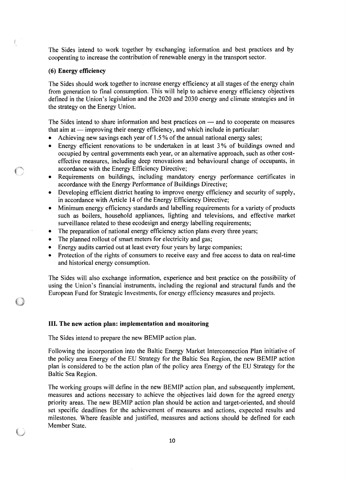The Sides intend to work together by exchanging information and best practices and by cooperating to increase the contribution of renewable energy in the transport sector.

### **(6) Energy efficiency**

The Sides should work together to increase energy efficiency at all stages of the energy chain from generation to final consumption. This will help to achieve energy efficiency objectives defined in the Union's legislation and the 2020 and 2030 energy and climate strategies and in the strategy on the Energy Union.

The Sides intend to share information and best practices on — and to cooperate on measures that aim at — improving their energy efficiency, and which include in particular:

- Achieving new savings each year of 1.5% of the annual national energy sales;
- Energy efficient renovations to be undertaken in at least 3% of buildings owned and occupied by central governments each year, or an alternative approach, such as other costeffective measures, including deep renovations and behavioural change of occupants, in accordance with the Energy Efficiency Directive;
- Requirements on buildings, including mandatory energy performance certificates in accordance with the Energy Performance of Buildings Directive;
- Developing efficient district heating to improve energy efficiency and security of supply, in accordance with Article 14 of the Energy Efficiency Directive;
- Minimum energy efficiency standards and labelling requirements for a variety of products such as boilers, household appliances, lighting and televisions, and effective market surveillance related to these ecodesign and energy labelling requirements;
- The preparation of national energy efficiency action plans every three years;
- The planned rollout of smart meters for electricity and gas;
- Energy audits carried out at least every four years by large companies;
- Protection of the rights of consumers to receive easy and free access to data on real-time and historical energy consumption.

The Sides will also exchange information, experience and best practice on the possibility of using the Union's financial instruments, including the regional and structural funds and the European Fund for Strategic Investments, for energy efficiency measures and projects.

### **III. The new action plan: implementation and monitoring**

The Sides intend to prepare the new BEMIP action plan.

Following the incorporation into the Baltic Energy Market Interconnection Plan initiative of the policy area Energy of the EU Strategy for the Baltic Sea Region, the new BEMIP action plan is considered to be the action plan of the policy area Energy of the EU Strategy for the Baltic Sea Region.

The working groups will define in the new BEMIP action plan, and subsequently implement, measures and actions necessary to achieve the objectives laid down for the agreed energy priority areas. The new BEMIP action plan should be action and target-oriented, and should set specific deadlines for the achievement of measures and actions, expected results and milestones. Where feasible and justified, measures and actions should be defined for each Member State.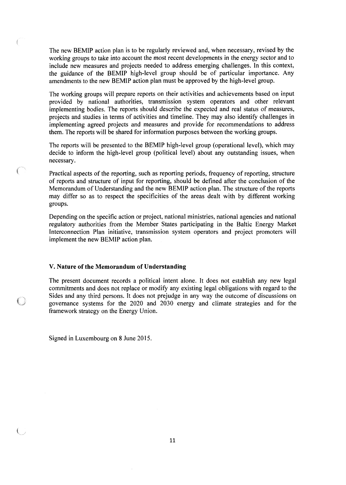The new BEMIP action plan is to be regularly reviewed and, when necessary, revised by the working groups to take into account the most recent developments in the energy sector and to include new measures and projects needed to address emerging challenges. In this context, the guidance of the BEMIP high-level group should be of particular importance. Any amendments to the new BEMIP action plan must be approved by the high-level group.

The working groups will prepare reports on their activities and achievements based on input provided by national authorities, transmission system operators and other relevant implementing bodies. The reports should describe the expected and real status of measures, projects and studies in terms of activities and timeline. They may also identify challenges in implementing agreed projects and measures and provide for recommendations to address them. The reports will be shared for information purposes between the working groups.

The reports will be presented to the BEMIP high-level group (operational level), which may decide to inform the high-level group (political level) about any outstanding issues, when necessary.

Practical aspects of the reporting, such as reporting periods, frequency of reporting, structure of reports and structure of input for reporting, should be defined after the conclusion of the Memorandum of Understanding and the new BEMIP action plan. The structure of the reports may differ so as to respect the specificities of the areas dealt with by different working groups.

Depending on the specific action or project, national ministries, national agencies and national regulatory authorities from the Member States participating in the Baltic Energy Market Interconnection Plan initiative, transmission system operators and project promoters will implement the new BEMIP action plan.

### **V. Nature of the Memorandum of Understanding**

The present document records a political intent alone. It does not establish any new legal commitments and does not replace or modify any existing legal obligations with regard to the Sides and any third persons. It does not prejudge in any way the outcome of discussions on governance systems for the 2020 and 2030 energy and climate strategies and for the framework strategy on the Energy Union.

Signed in Luxembourg on 8 June 2015.

**SHOP**